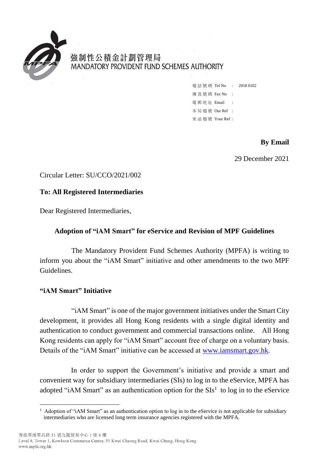

強制性公積金計劃管理局 MANDATORY PROVIDENT FUND SCHEMES AUTHORITY

| 電話號碼 Tel No : 29180102 |           |  |
|------------------------|-----------|--|
| 傳 真 號 碼 Fax No         | $\sim$ 1. |  |
| 電郵地址 Email             |           |  |
| 本局檔號 Our Ref :         |           |  |
| 來函檔號 Your Ref :        |           |  |

# **By Email**

29 December 2021

Circular Letter: SU/CCO/2021/002

### **To: All Registered Intermediaries**

Dear Registered Intermediaries,

#### **Adoption of "iAM Smart" for eService and Revision of MPF Guidelines**

The Mandatory Provident Fund Schemes Authority (MPFA) is writing to inform you about the "iAM Smart" initiative and other amendments to the two MPF Guidelines.

### **"iAM Smart" Initiative**

1

"iAM Smart" is one of the major government initiatives under the Smart City development, it provides all Hong Kong residents with a single digital identity and authentication to conduct government and commercial transactions online. All Hong Kong residents can apply for "iAM Smart" account free of charge on a voluntary basis. Details of the "iAM Smart" initiative can be accessed at [www.iamsmart.gov.hk.](http://www.iamsmart.gov.hk/)

In order to support the Government's initiative and provide a smart and convenient way for subsidiary intermediaries (SIs) to log in to the eService, MPFA has adopted "iAM Smart" as an authentication option for the  $SIs<sup>1</sup>$  to log in to the eService

<sup>&</sup>lt;sup>1</sup> Adoption of "iAM Smart" as an authentication option to log in to the eService is not applicable for subsidiary intermediaries who are licensed long term insurance agencies registered with the MPFA.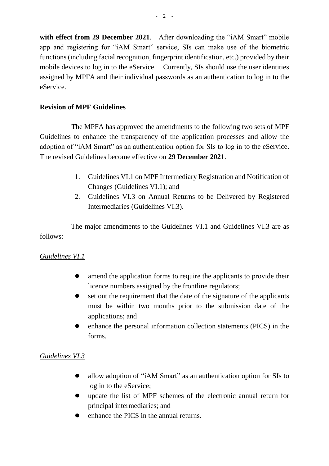with effect from 29 December 2021. After downloading the "iAM Smart" mobile app and registering for "iAM Smart" service, SIs can make use of the biometric functions (including facial recognition, fingerprint identification, etc.) provided by their mobile devices to log in to the eService. Currently, SIs should use the user identities assigned by MPFA and their individual passwords as an authentication to log in to the eService.

## **Revision of MPF Guidelines**

The MPFA has approved the amendments to the following two sets of MPF Guidelines to enhance the transparency of the application processes and allow the adoption of "iAM Smart" as an authentication option for SIs to log in to the eService. The revised Guidelines become effective on **29 December 2021**.

- 1. Guidelines VI.1 on MPF Intermediary Registration and Notification of Changes (Guidelines VI.1); and
- 2. Guidelines VI.3 on Annual Returns to be Delivered by Registered Intermediaries (Guidelines VI.3).

The major amendments to the Guidelines VI.1 and Guidelines VI.3 are as follows:

### *Guidelines VI.1*

- amend the application forms to require the applicants to provide their licence numbers assigned by the frontline regulators;
- set out the requirement that the date of the signature of the applicants must be within two months prior to the submission date of the applications; and
- enhance the personal information collection statements (PICS) in the forms.

### *Guidelines VI.3*

- allow adoption of "iAM Smart" as an authentication option for SIs to log in to the eService;
- update the list of MPF schemes of the electronic annual return for principal intermediaries; and
- enhance the PICS in the annual returns.